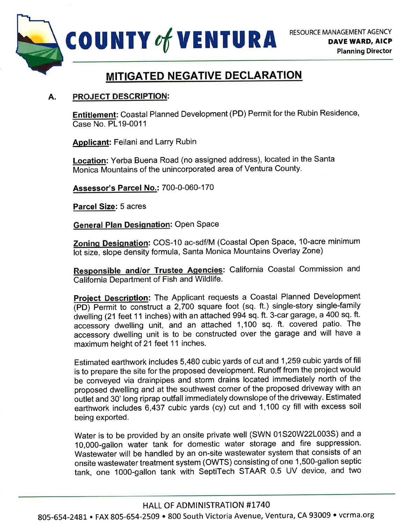

# MITIGATED NEGATIVE DECLARATION

### A. PROJEGT DESCRIPTION:

Entitlement: Coastal Planned Development (PD) Permit for the Rubin Residence, Case No. PL19-0011

**Applicant: Feilani and Larry Rubin** 

Location: Yerba Buena Road (no assigned address), located in the Santa Monica Mountains of the unincorporated area of Ventura County.

Assessor's Parcel No.: 700-0-060-170

Parcel Size: 5 acres

**General Plan Designation: Open Space** 

Zoning Designation: COS-10 ac-sdf/M (Coastal Open Space, 10-acre minimum lot size, slope density formula, Santa Monica Mountains Overlay Zone)

Responsible and/or Trustee Agencies: California Coastal Commission and California Department of Fish and Wildlife.

Project Description: The Applicant requests a Coastal Planned Development (PD) Permit to construct a 2,700 square foot (sq. ft.) single-story single-family dwelling (21 feet 11 inches) with an attached 9 94 sq. ft. 3-car garage, a 400 sq. ft. accessory dwelling unit, and an attached 1,100 sq. ft. covered patio. The accessory dwelling unit is to be constructed over the garage and will have a maximum height of 21 feet 11 inches.

Estimated earthwork includes 5,480 cubic yards of cut and 1 ,259 cubic yards of fill is to prepare the site for the proposed development. Runoff from the project would be conveyed via drainpipes and storm drains located immediately north of the proposed dwelling and at the southwest corner of the proposed driveway with an outiet and 30' long riprap outfall immediately downslope of the driveway. Estimated earthwork includes 6,437 cubic yards (cy) cut and 1,100 cy fill with excess soil being exported.

Water is to be provided by an onsite private well (SWN 01S20W22L003S) and <sup>a</sup> 10,000-gallon water tank for domestic water storage and fire suppression. Wastewater will be handled by an on-site wastewater system that consists of an onsite wastewater treatment system (OWTS) consisting of one 1 ,SOO-gallon septic tank, one 1000-gallon tank with SeptiTech STAAR 0.5 UV device, and two

HALL OF ADMINISTRATION #1740

805-654-2481 . FAX 805-654-2509 . 800 South Victoria Avenue, Ventura, CA 93009 . vcrma.org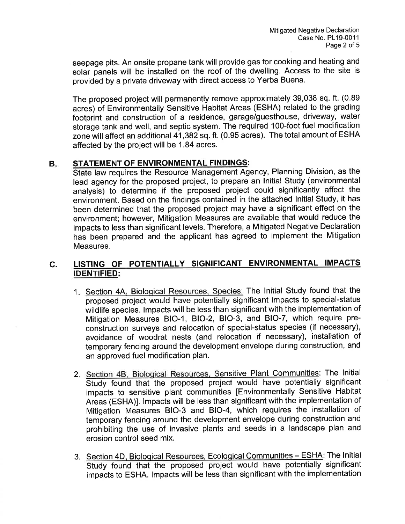seepage pits. An onsite propane tank will provide gas for cooking and heating and solar panels will be installed on the roof of the dwelling. Access to the site is provided by a private driveway with direct access to Yerba Buena.

The proposed project will permanently remove approximately 39,038 sq. ft. (0.89 acres) of Environmentally Sensitive Habitat Areas (ESHA) related to the grading footprint and construction of a residence, garage/guesthouse, driveway, water storage tank and well, and septic system. The required 1OO-foot fuel modification zone will affect an additional 41,382 sq. ft. (0.95 acres). The total amount of ESHA affected by the project will be 1.84 acres.

#### B. STATEMENT OF ENVIRONMENTAL FINDINGS:

State law requires the Resource Management Agency, Planning Division, as the lead agency for the proposed project, to prepare an Initial Study (environmental analysis) to determine if the proposed project could significantly affect the environment. Based on the findings contained in the attached lnitial Study, it has been determined that the proposed project may have a significant effect on the environment; however, Mitigation Measures are available that would reduce the impacts to less than significant levels. Therefore, a Mitigated Negative Declaration has been prepared and the applicant has agreed to implement the Mitigation Measures.

# C. LISTING OF POTENTIALLY SIGNIFICANT ENVIRONMENTAL IMPACTS **IDENTIFIED:**

- 1. Section 4A, Biological Resources, Species: The Initial Study found that the proposed project would have potentially significant impacts to special-status wildlife species. lmpacts will be less than significant with the implementation of Mitigation Measures BIO-1, BIO-2, BIO-3, and BIO-7, which require preconstruction surveys and relocation of special-status species (if necessary), avoidance of woodrat nests (and relocation if necessary), installation of temporary fencing around the development envelope during construction, and an approved fuel modification plan.
- 2. Section 4B, Biological Resources, Sensitive Plant Communities: The Initial Study found that the proposed project would have potentially significant impacts to sensitive plant communities [Environmentally Sensitive Habitat Areas (ESHA)]. Impacts will be less than significant with the implementation of Mitigation Measures BIO-3 and BIO-4, which requires the installation of temporary fencing around the development envelope during construction and prohibiting the use of invasive plants and seeds in a landscape plan and erosion control seed mix.
- 3. Section 4D, Biological Resources, Ecological Communities ESHA: The Initial Study found that the proposed project would have potentially significant impacts to ESHA. lmpacts will be less than significant with the implementation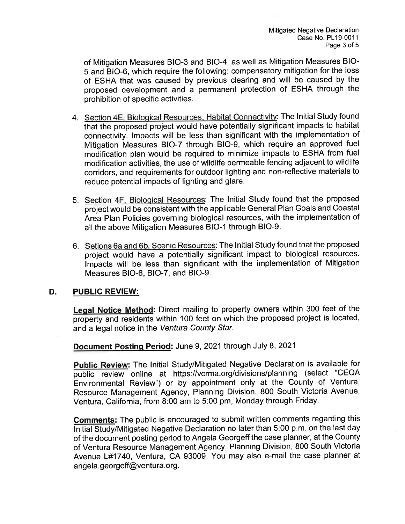of Mitigation Measures BIO-3 and BIO-4, as well as Mitigation Measures BIO-5 and 810-6, which require the following: compensatory mitigation for the loss of ESHA that was caused by previous clearing and will be caused by the proposed development and a permanent protection of ESHA through the prohibition of specific activities.

- 4. Section 4E, Biological Resources, Habitat Connectivity: The Initial Study found that the proposed project would have potentially significant impacts to habitat connectivity. lmpacts will be less than significant with the implementation of Mitigation Measures BIO-7 through BIO-9, which require an approved fuel modification plan would be required to minimize impacts to ESHA from fuel modification activities, the use of wildlife permeable fencing adjacent to wildlife corridors, and requirements for outdoor lighting and non-reflective materials to reduce potential impacts of lighting and glare.
- 5. Section 4F. Bioloqical Resources: The Initial Study found that the proposed project would be consistent with the applicable General Plan Goals and Coastal Area Plan Policies governing biological resources, with the implementation of all the above Mitigation Measures BIO-1 through BIO-9.
- 6. Setions 6a and 6b. Scenic Resources: The lnitial Study found that the proposed project would have a potentially significant impact to biological resources. lmpacts will be less than significant with the implementation of Mitigation Measures 810-6, BIO-7, and BIO-9.

#### D. PUBLIC REVIEW:

**Legal Notice Method:** Direct mailing to property owners within 300 feet of the property and residents within 100 feet on which the proposed project is located, and a legal notice in the Ventura County Star.

Document Posting Period: June 9, 2021 through July 8, 2021

Public Review: The Initial Study/Mitigated Negative Declaration is available for public review online at https://vcrma.org/divisions/planning (select "CEQA Environmental Review") or by appointment only at the County of Ventura, Resource Management Agency, Planning Division, 800 South Victoria Avenue, Ventura, California, from 8:00 am to 5:00 pm, Monday through Friday.

Comments: The public is encouraged to submit written comments regarding this lnitial Study/Mitigated Negative Declaration no later than 5:00 p.m. on the last day of the document posting period to Angela Georgeff the case planner, at the County of Ventura Resource Management Agency, Planning Division, 800 South Victoria Avenue L#1740, Ventura, CA 93009. You may also e-mail the case planner at angela.georgeff@ventura.org.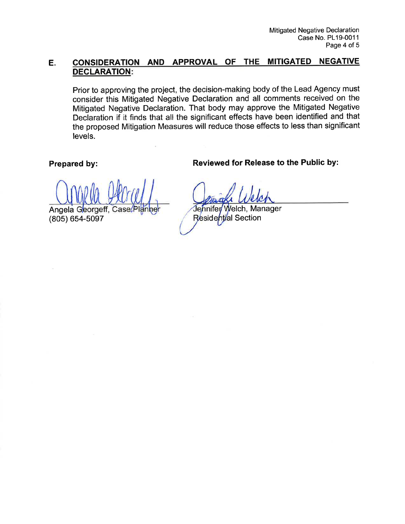# E. CONSIDERATION AND APPROVAL OF THE MITIGATED NEGATIVE DECLARATION:

Prior to approving the project, the decision-making body of the Lead Agency must consider this Mitigated Negative Declaration and all comments received on the Mitigated Negative Declaration. That body may approve the Mitigated Negative Declaration if it finds that all the significant effects have been identified and that the proposed Mitigation Measures will reduce those effects to less than significant levels.

Prepared by: Reviewed for Release to the Public by:

 $\overline{\mathbf{r}}$ 

Angela Georgeff, Case/Planner<br>
(805) 654-5097 **Residential Section** Residential Section